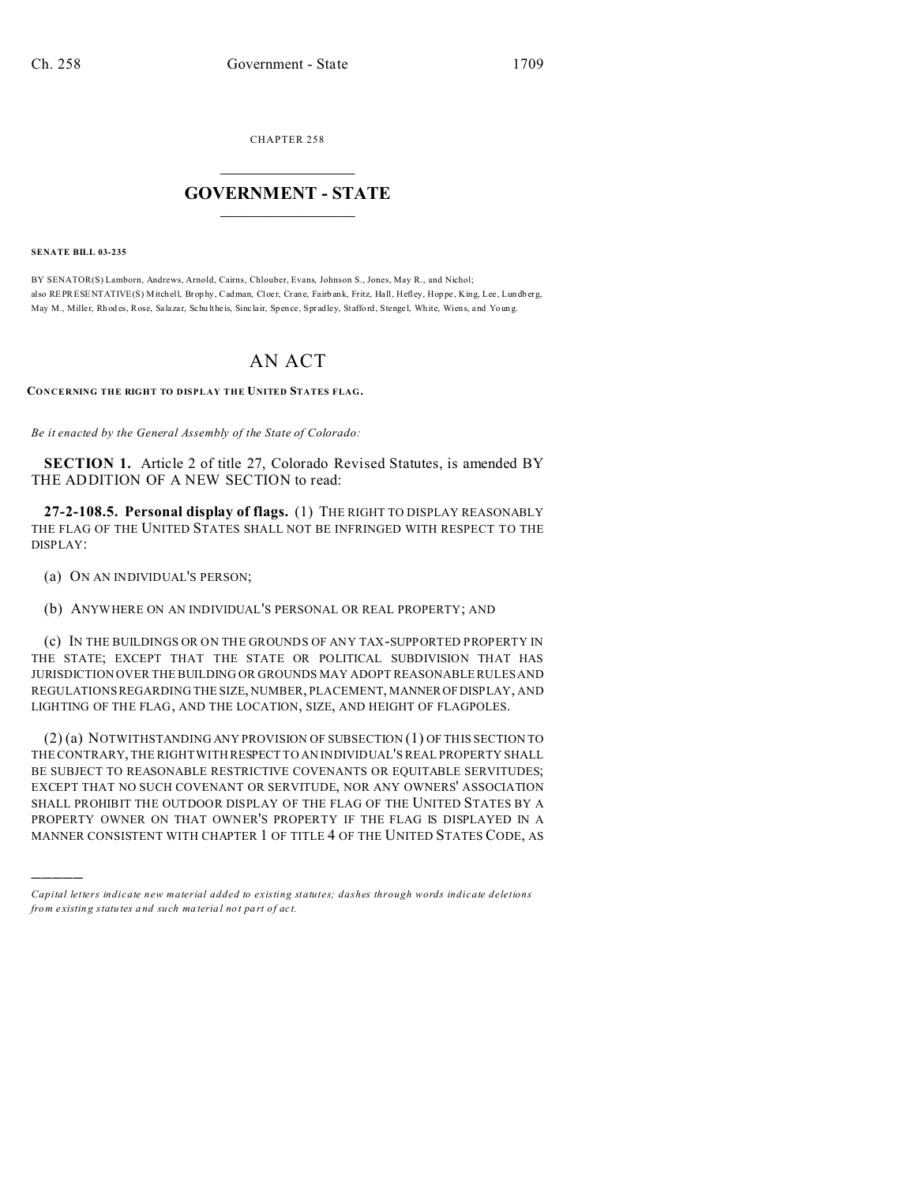CHAPTER 258  $\overline{\phantom{a}}$  , where  $\overline{\phantom{a}}$ 

## **GOVERNMENT - STATE**  $\_$   $\_$

**SENATE BILL 03-235**

)))))

BY SENATOR(S) Lamborn, Andrews, Arnold, Cairns, Chlouber, Evans, Johnson S., Jones, May R., and Nichol; also REPRESENTATIVE(S) Mitchell, Brop hy, Cadman, Cloer, Crane, Fairbank, Fritz, Hall, Hefley, Hoppe, King, Lee, Lundberg, May M., Miller, Rhodes, Rose, Salazar, Schu lthe is, Sinc lair, Spence, Spradley, Stafford, Stengel, White, Wiens, and Young.

## AN ACT

**CONCERNING THE RIGHT TO DISPLAY THE UNITED STATES FLAG.**

*Be it enacted by the General Assembly of the State of Colorado:*

**SECTION 1.** Article 2 of title 27, Colorado Revised Statutes, is amended BY THE ADDITION OF A NEW SECTION to read:

**27-2-108.5. Personal display of flags.** (1) THE RIGHT TO DISPLAY REASONABLY THE FLAG OF THE UNITED STATES SHALL NOT BE INFRINGED WITH RESPECT TO THE DISPLAY:

(a) ON AN INDIVIDUAL'S PERSON;

(b) ANYWHERE ON AN INDIVIDUAL'S PERSONAL OR REAL PROPERTY; AND

(c) IN THE BUILDINGS OR ON THE GROUNDS OF ANY TAX-SUPPORTED PROPERTY IN THE STATE; EXCEPT THAT THE STATE OR POLITICAL SUBDIVISION THAT HAS JURISDICTION OVER THE BUILDING OR GROUNDS MAY ADOPT REASONABLE RULES AND REGULATIONS REGARDING THE SIZE, NUMBER, PLACEMENT, MANNEROF DISPLAY, AND LIGHTING OF THE FLAG, AND THE LOCATION, SIZE, AND HEIGHT OF FLAGPOLES.

(2) (a) NOTWITHSTANDING ANY PROVISION OF SUBSECTION (1) OF THIS SECTION TO THE CONTRARY, THE RIGHT WITH RESPECT TO AN INDIVIDUAL'S REAL PROPERTY SHALL BE SUBJECT TO REASONABLE RESTRICTIVE COVENANTS OR EQUITABLE SERVITUDES; EXCEPT THAT NO SUCH COVENANT OR SERVITUDE, NOR ANY OWNERS' ASSOCIATION SHALL PROHIBIT THE OUTDOOR DISPLAY OF THE FLAG OF THE UNITED STATES BY A PROPERTY OWNER ON THAT OWNER'S PROPERTY IF THE FLAG IS DISPLAYED IN A MANNER CONSISTENT WITH CHAPTER 1 OF TITLE 4 OF THE UNITED STATES CODE, AS

*Capital letters indicate new material added to existing statutes; dashes through words indicate deletions from e xistin g statu tes a nd such ma teria l no t pa rt of ac t.*